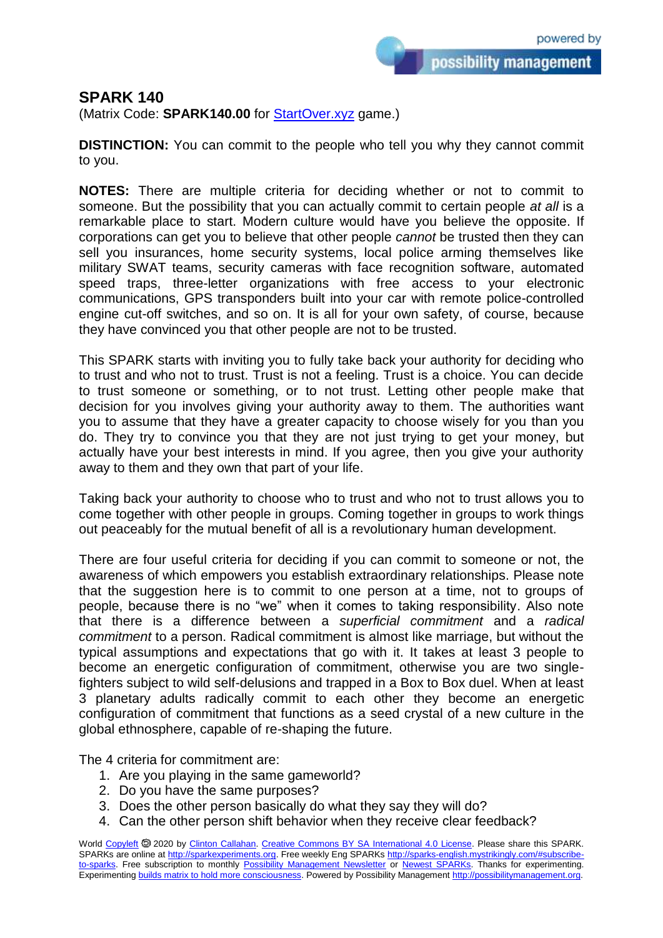possibility management

## **SPARK 140**

(Matrix Code: **SPARK140.00** for **StartOver.xyz** game.)

**DISTINCTION:** You can commit to the people who tell you why they cannot commit to you.

**NOTES:** There are multiple criteria for deciding whether or not to commit to someone. But the possibility that you can actually commit to certain people *at all* is a remarkable place to start. Modern culture would have you believe the opposite. If corporations can get you to believe that other people *cannot* be trusted then they can sell you insurances, home security systems, local police arming themselves like military SWAT teams, security cameras with face recognition software, automated speed traps, three-letter organizations with free access to your electronic communications, GPS transponders built into your car with remote police-controlled engine cut-off switches, and so on. It is all for your own safety, of course, because they have convinced you that other people are not to be trusted.

This SPARK starts with inviting you to fully take back your authority for deciding who to trust and who not to trust. Trust is not a feeling. Trust is a choice. You can decide to trust someone or something, or to not trust. Letting other people make that decision for you involves giving your authority away to them. The authorities want you to assume that they have a greater capacity to choose wisely for you than you do. They try to convince you that they are not just trying to get your money, but actually have your best interests in mind. If you agree, then you give your authority away to them and they own that part of your life.

Taking back your authority to choose who to trust and who not to trust allows you to come together with other people in groups. Coming together in groups to work things out peaceably for the mutual benefit of all is a revolutionary human development.

There are four useful criteria for deciding if you can commit to someone or not, the awareness of which empowers you establish extraordinary relationships. Please note that the suggestion here is to commit to one person at a time, not to groups of people, because there is no "we" when it comes to taking responsibility. Also note that there is a difference between a *superficial commitment* and a *radical commitment* to a person. Radical commitment is almost like marriage, but without the typical assumptions and expectations that go with it. It takes at least 3 people to become an energetic configuration of commitment, otherwise you are two singlefighters subject to wild self-delusions and trapped in a Box to Box duel. When at least 3 planetary adults radically commit to each other they become an energetic configuration of commitment that functions as a seed crystal of a new culture in the global ethnosphere, capable of re-shaping the future.

The 4 criteria for commitment are:

- 1. Are you playing in the same gameworld?
- 2. Do you have the same purposes?
- 3. Does the other person basically do what they say they will do?
- 4. Can the other person shift behavior when they receive clear feedback?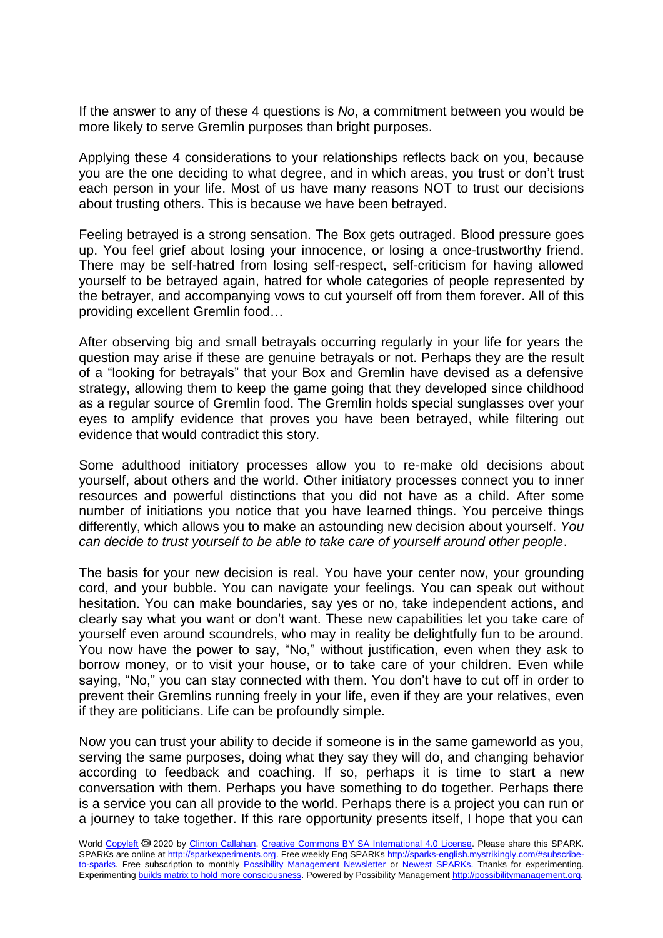If the answer to any of these 4 questions is *No*, a commitment between you would be more likely to serve Gremlin purposes than bright purposes.

Applying these 4 considerations to your relationships reflects back on you, because you are the one deciding to what degree, and in which areas, you trust or don't trust each person in your life. Most of us have many reasons NOT to trust our decisions about trusting others. This is because we have been betrayed.

Feeling betrayed is a strong sensation. The Box gets outraged. Blood pressure goes up. You feel grief about losing your innocence, or losing a once-trustworthy friend. There may be self-hatred from losing self-respect, self-criticism for having allowed yourself to be betrayed again, hatred for whole categories of people represented by the betrayer, and accompanying vows to cut yourself off from them forever. All of this providing excellent Gremlin food…

After observing big and small betrayals occurring regularly in your life for years the question may arise if these are genuine betrayals or not. Perhaps they are the result of a "looking for betrayals" that your Box and Gremlin have devised as a defensive strategy, allowing them to keep the game going that they developed since childhood as a regular source of Gremlin food. The Gremlin holds special sunglasses over your eyes to amplify evidence that proves you have been betrayed, while filtering out evidence that would contradict this story.

Some adulthood initiatory processes allow you to re-make old decisions about yourself, about others and the world. Other initiatory processes connect you to inner resources and powerful distinctions that you did not have as a child. After some number of initiations you notice that you have learned things. You perceive things differently, which allows you to make an astounding new decision about yourself. *You can decide to trust yourself to be able to take care of yourself around other people*.

The basis for your new decision is real. You have your center now, your grounding cord, and your bubble. You can navigate your feelings. You can speak out without hesitation. You can make boundaries, say yes or no, take independent actions, and clearly say what you want or don't want. These new capabilities let you take care of yourself even around scoundrels, who may in reality be delightfully fun to be around. You now have the power to say, "No," without justification, even when they ask to borrow money, or to visit your house, or to take care of your children. Even while saying, "No," you can stay connected with them. You don't have to cut off in order to prevent their Gremlins running freely in your life, even if they are your relatives, even if they are politicians. Life can be profoundly simple.

Now you can trust your ability to decide if someone is in the same gameworld as you, serving the same purposes, doing what they say they will do, and changing behavior according to feedback and coaching. If so, perhaps it is time to start a new conversation with them. Perhaps you have something to do together. Perhaps there is a service you can all provide to the world. Perhaps there is a project you can run or a journey to take together. If this rare opportunity presents itself, I hope that you can